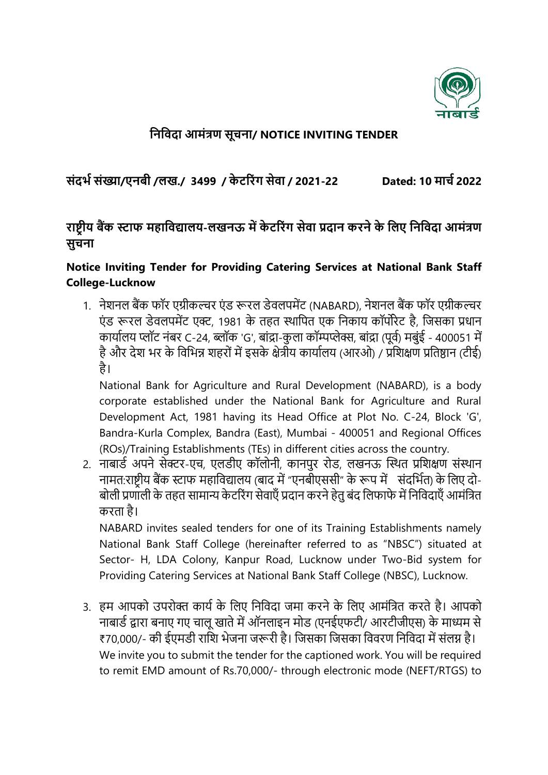

## **निनिदा आमंत्रण सूचिा/ NOTICE INVITING TENDER**

**संदर्भ संख्या/एिबी /लख./ 3499 / के टर ंग सेिा / 2021-22 Dated: 10 माचभ 2022**

## **ाष्ट्रीय बैंक स्टाफ महानिद्यालय-लखिऊ में के टर ंग सेिा प्रदाि क िे के नलए निनिदा आमंत्रण सुचिा**

## **Notice Inviting Tender for Providing Catering Services at National Bank Staff College-Lucknow**

1. नेशनल बैंक फॉर एग्रीकल्चर एंड रूरल डेवलपमेंट (NABARD), नेशनल बैंक फॉर एग्रीकल्चर एं ड रूरल डेवलपमेंट एक्ट, 1981 के तहत स्थापपत एक पनकाय कॉपोरेट है, पिसका प्रधान कार्यालय प्लॉट नंबर C-24, ब्लॉक 'G', बांद्रा-कुला कॉम्पप्लेक्स, बांद्रा (पूर्व) मबंई - 400051 में है और देश भर के विभिन्न शहरों में इसके क्षेत्रीय कार्यालय (आरओ) / प्रशिक्षण प्रतिष्ठान (टीई) है।

National Bank for Agriculture and Rural Development (NABARD), is a body corporate established under the National Bank for Agriculture and Rural Development Act, 1981 having its Head Office at Plot No. C-24, Block 'G', Bandra-Kurla Complex, Bandra (East), Mumbai - 400051 and Regional Offices (ROs)/Training Establishments (TEs) in different cities across the country.

2. नाबार्ड अपने सेक्टर-एच, एलडीए कॉलोनी, कानपुर रोड, लखनऊ स्थित प्रशिक्षण संस्थान नामत:राष्ट्रीय बैंक स्टाफ महाविद्यालय (बाद में "एनबीएससी" के रूप में संदर्भित) के लिए दो-बोली प्रणाली के तहत सामान्य केटरिंग सेवाएँ प्रदान करने हेतु बंद लिफाफे में निविदाएँ आमंत्रित करता है।

NABARD invites sealed tenders for one of its Training Establishments namely National Bank Staff College (hereinafter referred to as "NBSC") situated at Sector- H, LDA Colony, Kanpur Road, Lucknow under Two-Bid system for Providing Catering Services at National Bank Staff College (NBSC), Lucknow.

3. हम आपको उपरोक्त कार्य के लिए निविदा जमा करने के लिए आमंत्रित करते है। आपको नाबार्ड द्वारा बनाए गए चालू खाते में ऑनलाइन मोड (एनईएफटी/ आरटीजीएस) के माध्यम से ₹70,000/- की ईएमडी राशि भेजना जरूरी है। जिसका जिसका विवरण निविदा में संलग्न है। We invite you to submit the tender for the captioned work. You will be required to remit EMD amount of Rs.70,000/- through electronic mode (NEFT/RTGS) to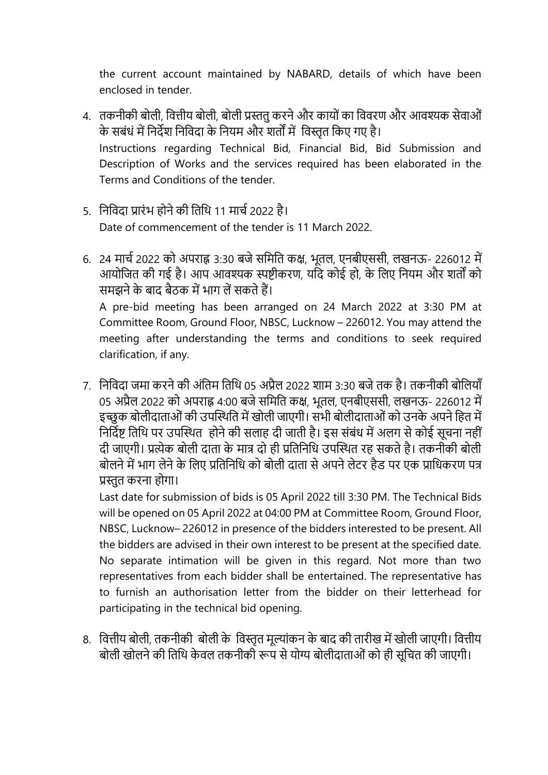the current account maintained by NABARD, details of which have been enclosed in tender.

- 4. तकनीकी बोली, वित्तीय बोली, बोली प्रस्ततु करने और कायों का विवरण और आवश्यक सेवाओं के सबंधं में पनदेश पनपवदा के पनयम और शतों में पवस्तृत पकए गए है। Instructions regarding Technical Bid, Financial Bid, Bid Submission and Description of Works and the services required has been elaborated in the Terms and Conditions of the tender.
- 5. निविदा प्रारंभ होने की तिथि 11 मार्च 2022 है। Date of commencement of the tender is 11 March 2022.
- 6. 24 मार्च 2022 को अपराह्न 3:30 बजे समिति कक्ष, भूतल, एनबीएससी, लखनऊ- 226012 में आयोजित की गई है। आप आवश्यक स्पष्टीकरण, यदि कोई हो, के लिए नियम और शर्तों को समझने के बाद बैठक में भाग लें सकते हैं।

A pre-bid meeting has been arranged on 24 March 2022 at 3:30 PM at Committee Room, Ground Floor, NBSC, Lucknow – 226012. You may attend the meeting after understanding the terms and conditions to seek required clarification, if any.

7. निविदा जमा करने की अंतिम तिथि 05 अप्रैल 2022 शाम 3:30 बजे तक है। तकनीकी बोलियाँ 05 अप्रैल 2022 को अपराह्न 4:00 बजे समिति कक्ष, भूतल, एनबीएससी, लखनऊ- 226012 में इच्छुक बोलीदाताओं की उपस्थिति में खोली जाएगी। सभी बोलीदाताओं को उनके अपने हित में निर्दिष्ट तिथि पर उपस्थित) होने की सलाह दी जाती है। इस संबंध में अलग से कोई सूचना नहीं दी जाएगी। प्रत्येक बोली दाता के मात्र दो ही प्रतिनिधि उपस्थित रह सकते है। तकनीकी बोली बोलने में भाग लेने के लिए प्रतिनिधि को बोली दाता से अपने लेटर हैड पर एक प्राधिकरण पत्र प्रस्तुत करना होगा।

Last date for submission of bids is 05 April 2022 till 3:30 PM. The Technical Bids will be opened on 05 April 2022 at 04:00 PM at Committee Room, Ground Floor, NBSC, Lucknow– 226012 in presence of the bidders interested to be present. All the bidders are advised in their own interest to be present at the specified date. No separate intimation will be given in this regard. Not more than two representatives from each bidder shall be entertained. The representative has to furnish an authorisation letter from the bidder on their letterhead for participating in the technical bid opening.

8. वित्तीय बोली, तकनीकी बोली के विस्तृत मूल्यांकन के बाद की तारीख में खोली जाएगी। वित्तीय बोली खोलने की तिथि केवल तकनीकी रूप से योग्य बोलीदाताओं को ही सूचित की जाएगी।